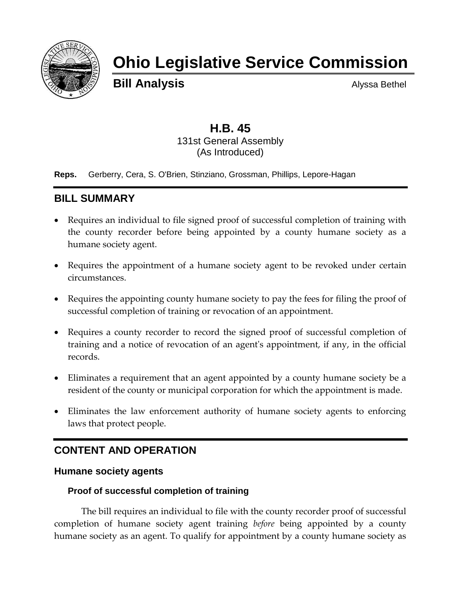

# **Ohio Legislative Service Commission**

**Bill Analysis** Alyssa Bethel

### **H.B. 45** 131st General Assembly (As Introduced)

**Reps.** Gerberry, Cera, S. O'Brien, Stinziano, Grossman, Phillips, Lepore-Hagan

## **BILL SUMMARY**

- Requires an individual to file signed proof of successful completion of training with the county recorder before being appointed by a county humane society as a humane society agent.
- Requires the appointment of a humane society agent to be revoked under certain circumstances.
- Requires the appointing county humane society to pay the fees for filing the proof of successful completion of training or revocation of an appointment.
- Requires a county recorder to record the signed proof of successful completion of training and a notice of revocation of an agent's appointment, if any, in the official records.
- Eliminates a requirement that an agent appointed by a county humane society be a resident of the county or municipal corporation for which the appointment is made.
- Eliminates the law enforcement authority of humane society agents to enforcing laws that protect people.

# **CONTENT AND OPERATION**

#### **Humane society agents**

#### **Proof of successful completion of training**

The bill requires an individual to file with the county recorder proof of successful completion of humane society agent training *before* being appointed by a county humane society as an agent. To qualify for appointment by a county humane society as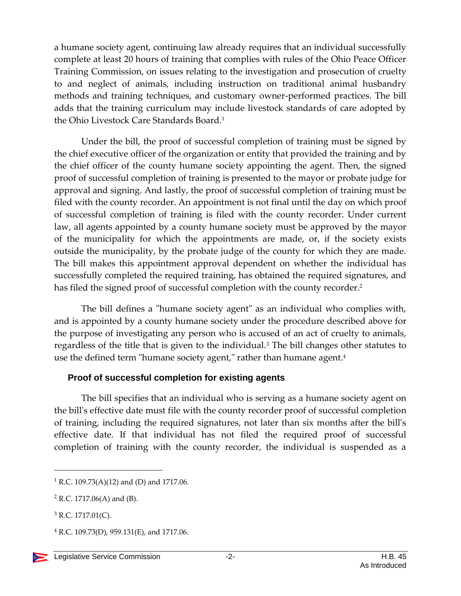a humane society agent, continuing law already requires that an individual successfully complete at least 20 hours of training that complies with rules of the Ohio Peace Officer Training Commission, on issues relating to the investigation and prosecution of cruelty to and neglect of animals, including instruction on traditional animal husbandry methods and training techniques, and customary owner-performed practices. The bill adds that the training curriculum may include livestock standards of care adopted by the Ohio Livestock Care Standards Board.<sup>1</sup>

Under the bill, the proof of successful completion of training must be signed by the chief executive officer of the organization or entity that provided the training and by the chief officer of the county humane society appointing the agent. Then, the signed proof of successful completion of training is presented to the mayor or probate judge for approval and signing. And lastly, the proof of successful completion of training must be filed with the county recorder. An appointment is not final until the day on which proof of successful completion of training is filed with the county recorder. Under current law, all agents appointed by a county humane society must be approved by the mayor of the municipality for which the appointments are made, or, if the society exists outside the municipality, by the probate judge of the county for which they are made. The bill makes this appointment approval dependent on whether the individual has successfully completed the required training, has obtained the required signatures, and has filed the signed proof of successful completion with the county recorder.<sup>2</sup>

The bill defines a "humane society agent" as an individual who complies with, and is appointed by a county humane society under the procedure described above for the purpose of investigating any person who is accused of an act of cruelty to animals, regardless of the title that is given to the individual.<sup>3</sup> The bill changes other statutes to use the defined term "humane society agent," rather than humane agent. 4

#### **Proof of successful completion for existing agents**

The bill specifies that an individual who is serving as a humane society agent on the bill's effective date must file with the county recorder proof of successful completion of training, including the required signatures, not later than six months after the bill's effective date. If that individual has not filed the required proof of successful completion of training with the county recorder, the individual is suspended as a

 $\overline{a}$ 

<sup>&</sup>lt;sup>1</sup> R.C. 109.73(A)(12) and (D) and 1717.06.

<sup>2</sup> R.C. 1717.06(A) and (B).

 $3$  R.C. 1717.01(C).

 $4$  R.C. 109.73(D), 959.131(E), and 1717.06.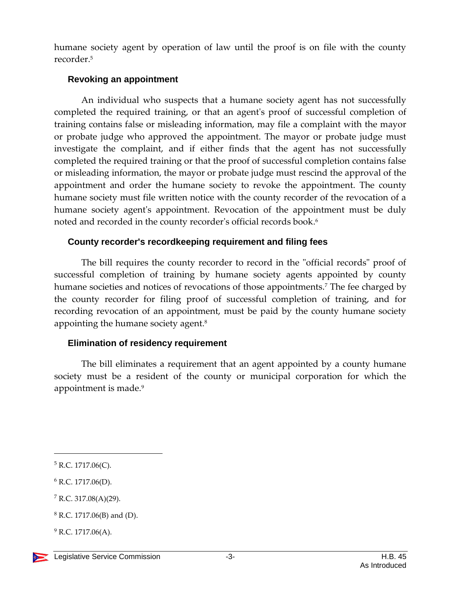humane society agent by operation of law until the proof is on file with the county recorder.<sup>5</sup>

#### **Revoking an appointment**

An individual who suspects that a humane society agent has not successfully completed the required training, or that an agent's proof of successful completion of training contains false or misleading information, may file a complaint with the mayor or probate judge who approved the appointment. The mayor or probate judge must investigate the complaint, and if either finds that the agent has not successfully completed the required training or that the proof of successful completion contains false or misleading information, the mayor or probate judge must rescind the approval of the appointment and order the humane society to revoke the appointment. The county humane society must file written notice with the county recorder of the revocation of a humane society agent's appointment. Revocation of the appointment must be duly noted and recorded in the county recorder's official records book. 6

#### **County recorder's recordkeeping requirement and filing fees**

The bill requires the county recorder to record in the "official records" proof of successful completion of training by humane society agents appointed by county humane societies and notices of revocations of those appointments.<sup>7</sup> The fee charged by the county recorder for filing proof of successful completion of training, and for recording revocation of an appointment, must be paid by the county humane society appointing the humane society agent. 8

## **Elimination of residency requirement**

The bill eliminates a requirement that an agent appointed by a county humane society must be a resident of the county or municipal corporation for which the appointment is made.<sup>9</sup>

 $\overline{a}$ 

 $5$  R.C. 1717.06(C).

<sup>6</sup> R.C. 1717.06(D).

<sup>7</sup> R.C. 317.08(A)(29).

 $8$  R.C. 1717.06(B) and (D).

 $^{9}$  R.C. 1717.06(A).